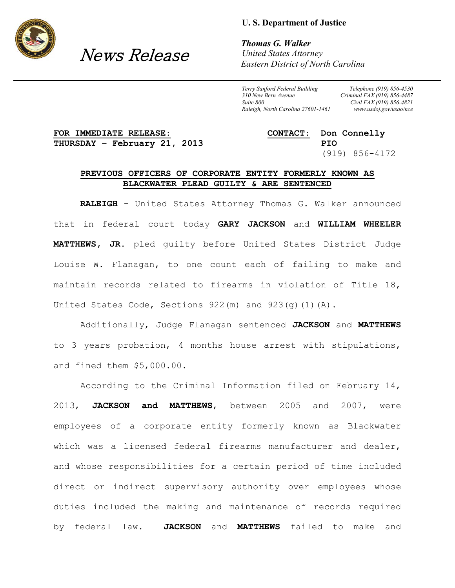

## News Release

**U. S. Department of Justice**

*Thomas G. Walker United States Attorney Eastern District of North Carolina*

*Terry Sanford Federal Building 310 New Bern Avenue Suite 800 Raleigh, North Carolina 27601-1461*

*Telephone (919) 856-4530 Criminal FAX (919) 856-4487 Civil FAX (919) 856-4821 www.usdoj.gov/usao/nce*

## **FOR IMMEDIATE RELEASE: CONTACT: Don Connelly THURSDAY – February 21, 2013 PIO**

(919) 856-4172

## **PREVIOUS OFFICERS OF CORPORATE ENTITY FORMERLY KNOWN AS BLACKWATER PLEAD GUILTY & ARE SENTENCED**

**RALEIGH** - United States Attorney Thomas G. Walker announced that in federal court today **GARY JACKSON** and **WILLIAM WHEELER MATTHEWS, JR.** pled guilty before United States District Judge Louise W. Flanagan, to one count each of failing to make and maintain records related to firearms in violation of Title 18, United States Code, Sections  $922 \text{ (m)}$  and  $923 \text{ (q)}(1)$  (A).

Additionally, Judge Flanagan sentenced **JACKSON** and **MATTHEWS** to 3 years probation, 4 months house arrest with stipulations, and fined them \$5,000.00.

According to the Criminal Information filed on February 14, 2013, **JACKSON and MATTHEWS**, between 2005 and 2007, were employees of a corporate entity formerly known as Blackwater which was a licensed federal firearms manufacturer and dealer, and whose responsibilities for a certain period of time included direct or indirect supervisory authority over employees whose duties included the making and maintenance of records required by federal law. **JACKSON** and **MATTHEWS** failed to make and